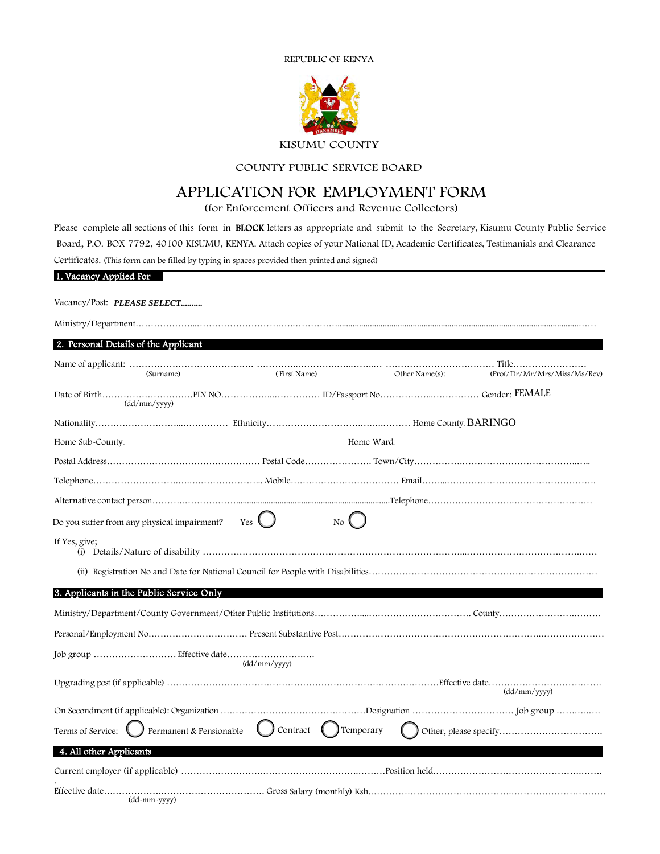



## COUNTY PUBLIC SERVICE BOARD

# APPLICATION FOR EMPLOYMENT FORM

(for Enforcement Officers and Revenue Collectors)

Please complete all sections of this form in BLOCK letters as appropriate and submit to the Secretary, Kisumu County Public Service Board, P.O. BOX 7792, 40100 KISUMU, KENYA. Attach copies of your National ID, Academic Certificates, Testimanials and Clearance Certificates. (This form can be filled by typing in spaces provided then printed and signed)

| 1. Vacancy Applied For                       |               |                          |                |                              |
|----------------------------------------------|---------------|--------------------------|----------------|------------------------------|
| Vacancy/Post: PLEASE SELECT                  |               |                          |                |                              |
|                                              |               |                          |                |                              |
| 2. Personal Details of the Applicant         |               |                          |                |                              |
| (Surname)                                    | (First Name)  |                          | Other Name(s): | (Prof/Dr/Mr/Mrs/Miss/Ms/Rev) |
| $\frac{dd}{m}$                               |               |                          |                |                              |
|                                              |               |                          |                |                              |
| Home Sub-County.                             |               | Home Ward.               |                |                              |
|                                              |               |                          |                |                              |
|                                              |               |                          |                |                              |
|                                              |               |                          |                |                              |
| Do you suffer from any physical impairment?  | Yes $\bigcup$ | $\overline{N_{\rm O}}$ ( |                |                              |
| If Yes, give;                                |               |                          |                |                              |
|                                              |               |                          |                |                              |
| 3. Applicants in the Public Service Only     |               |                          |                |                              |
|                                              |               |                          |                |                              |
|                                              |               |                          |                |                              |
|                                              | (dd/mm/yyyy)  |                          |                |                              |
|                                              |               |                          |                | (dd/mm/yyyy)                 |
|                                              |               |                          |                |                              |
| Permanent & Pensionable<br>Terms of Service: | Contract      | ( ) Temporary            |                |                              |
| 4. All other Applicants                      |               |                          |                |                              |
|                                              |               |                          |                |                              |
| (dd-mm-yyyy)                                 |               |                          |                |                              |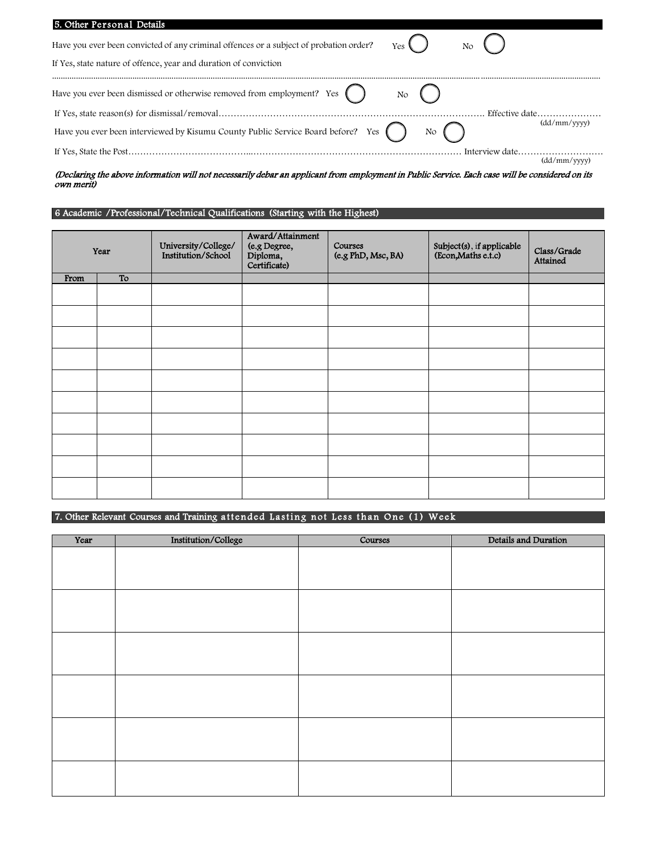| 5. Other Personal Details                                                                                                                                               |              |
|-------------------------------------------------------------------------------------------------------------------------------------------------------------------------|--------------|
| Have you ever been convicted of any criminal offences or a subject of probation order?<br>Yes<br>No<br>If Yes, state nature of offence, year and duration of conviction |              |
| Have you ever been dismissed or otherwise removed from employment? Yes $( )$<br>No                                                                                      |              |
|                                                                                                                                                                         |              |
| Have you ever been interviewed by Kisumu County Public Service Board before? Yes (<br>$\overline{N}$                                                                    | (dd/mm/vvvv) |
| Interview date                                                                                                                                                          |              |
|                                                                                                                                                                         | (dd/mm/vvvv) |

#### (Declaring the above information will not necessarily debar an applicant from employment in Public Service. Each case will be considered on its own merit)

### 6 Academic /Professional/Technical Qualifications (Starting with the Highest)

|      | Year | University/College/<br>Institution/School | Award/Attainment<br>(e.g Degree,<br>Diploma,<br>Certificate) | Courses<br>(e.g PhD, Msc, BA) | Subject(s), if applicable<br>(Econ, Maths e.t.c) | Class/Grade<br>Attained |
|------|------|-------------------------------------------|--------------------------------------------------------------|-------------------------------|--------------------------------------------------|-------------------------|
| From | To   |                                           |                                                              |                               |                                                  |                         |
|      |      |                                           |                                                              |                               |                                                  |                         |
|      |      |                                           |                                                              |                               |                                                  |                         |
|      |      |                                           |                                                              |                               |                                                  |                         |
|      |      |                                           |                                                              |                               |                                                  |                         |
|      |      |                                           |                                                              |                               |                                                  |                         |
|      |      |                                           |                                                              |                               |                                                  |                         |
|      |      |                                           |                                                              |                               |                                                  |                         |
|      |      |                                           |                                                              |                               |                                                  |                         |
|      |      |                                           |                                                              |                               |                                                  |                         |
|      |      |                                           |                                                              |                               |                                                  |                         |

## 7. Other Relevant Courses and Training attended Lasting not Less than One (1) Week

| Year | Institution/College | Courses | Details and Duration |
|------|---------------------|---------|----------------------|
|      |                     |         |                      |
|      |                     |         |                      |
|      |                     |         |                      |
|      |                     |         |                      |
|      |                     |         |                      |
|      |                     |         |                      |
|      |                     |         |                      |
|      |                     |         |                      |
|      |                     |         |                      |
|      |                     |         |                      |
|      |                     |         |                      |
|      |                     |         |                      |
|      |                     |         |                      |
|      |                     |         |                      |
|      |                     |         |                      |
|      |                     |         |                      |
|      |                     |         |                      |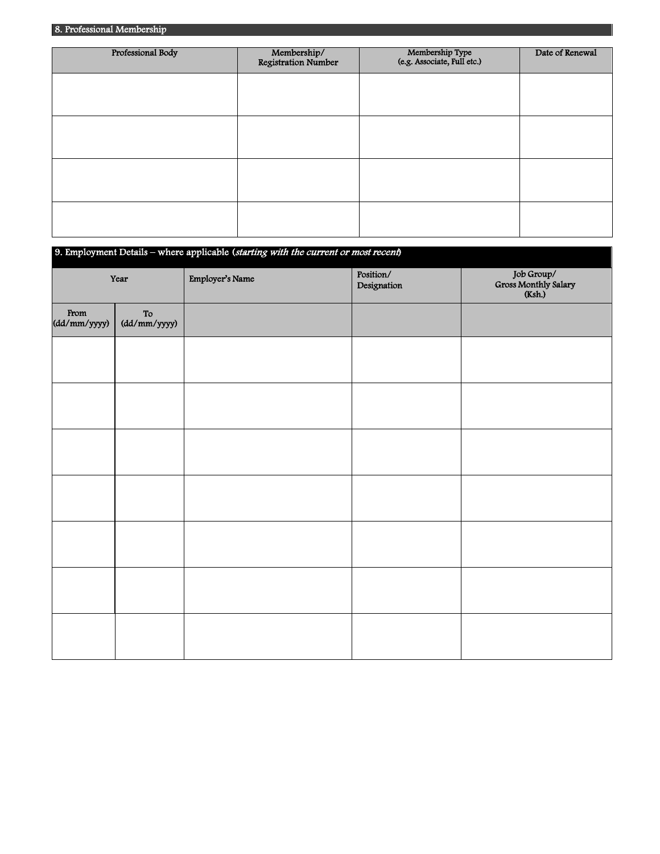| Professional Body | Membership/<br>Registration Number | Membership Type<br>(e.g. Associate, Full etc.) | Date of Renewal |
|-------------------|------------------------------------|------------------------------------------------|-----------------|
|                   |                                    |                                                |                 |
|                   |                                    |                                                |                 |
|                   |                                    |                                                |                 |
|                   |                                    |                                                |                 |
|                   |                                    |                                                |                 |

| 9. Employment Details - where applicable (starting with the current or most recent) |                   |                 |                          |                                              |
|-------------------------------------------------------------------------------------|-------------------|-----------------|--------------------------|----------------------------------------------|
| Year                                                                                |                   | Employer's Name | Position/<br>Designation | Job Group/<br>Gross Monthly Salary<br>(Ksh.) |
| <b>From</b><br>(dd/mm/yyyy)                                                         | To $(dd/mm/yyyy)$ |                 |                          |                                              |
|                                                                                     |                   |                 |                          |                                              |
|                                                                                     |                   |                 |                          |                                              |
|                                                                                     |                   |                 |                          |                                              |
|                                                                                     |                   |                 |                          |                                              |
|                                                                                     |                   |                 |                          |                                              |
|                                                                                     |                   |                 |                          |                                              |
|                                                                                     |                   |                 |                          |                                              |